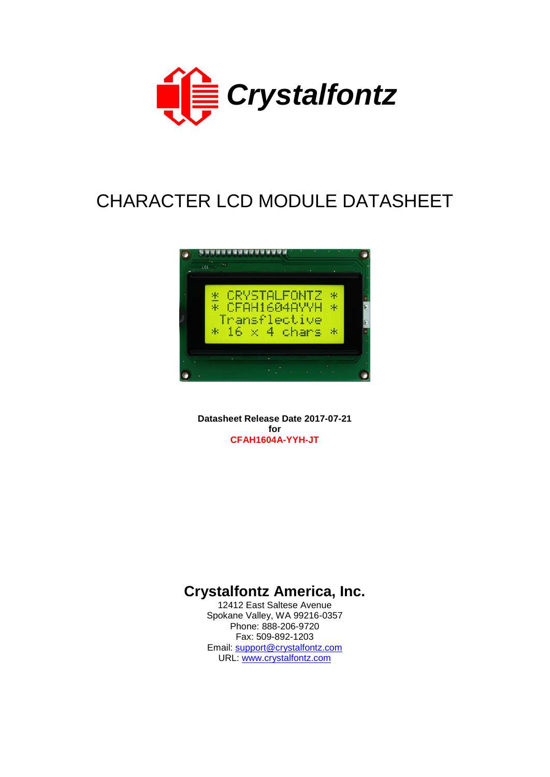

# CHARACTER LCD MODULE DATASHEET



**Datasheet Release Date 2017-07-21 for CFAH1604A-YYH-JT**

# **Crystalfontz America, Inc.**

12412 East Saltese Avenue Spokane Valley, WA 99216-0357 Phone: 888-206-9720 Fax: 509-892-1203 Email: [support@crystalfontz.com](mailto:support@crystalfontz.com) URL: [www.crystalfontz.com](http://www.crystalfontz.com/)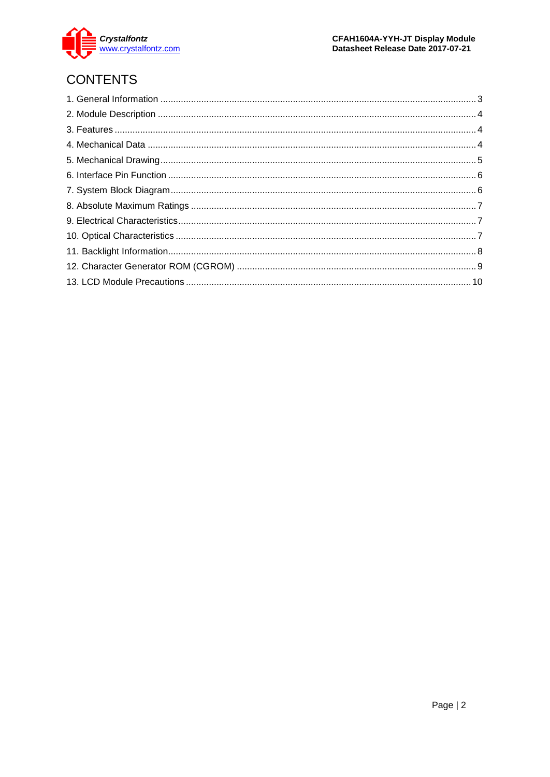

# **CONTENTS**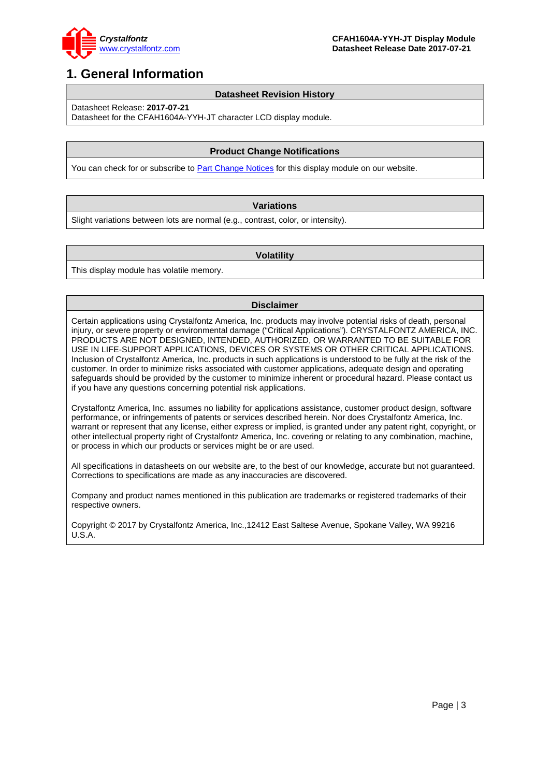

### <span id="page-2-0"></span>**1. General Information**

#### **Datasheet Revision History**

Datasheet Release: **2017-07-21**

Datasheet for the CFAH1604A-YYH-JT character LCD display module.

#### **Product Change Notifications**

You can check for or subscribe to **Part Change Notices** for this display module on our website.

#### **Variations**

Slight variations between lots are normal (e.g., contrast, color, or intensity).

#### **Volatility**

This display module has volatile memory.

#### **Disclaimer**

Certain applications using Crystalfontz America, Inc. products may involve potential risks of death, personal injury, or severe property or environmental damage ("Critical Applications"). CRYSTALFONTZ AMERICA, INC. PRODUCTS ARE NOT DESIGNED, INTENDED, AUTHORIZED, OR WARRANTED TO BE SUITABLE FOR USE IN LIFE-SUPPORT APPLICATIONS, DEVICES OR SYSTEMS OR OTHER CRITICAL APPLICATIONS. Inclusion of Crystalfontz America, Inc. products in such applications is understood to be fully at the risk of the customer. In order to minimize risks associated with customer applications, adequate design and operating safeguards should be provided by the customer to minimize inherent or procedural hazard. Please contact us if you have any questions concerning potential risk applications.

Crystalfontz America, Inc. assumes no liability for applications assistance, customer product design, software performance, or infringements of patents or services described herein. Nor does Crystalfontz America, Inc. warrant or represent that any license, either express or implied, is granted under any patent right, copyright, or other intellectual property right of Crystalfontz America, Inc. covering or relating to any combination, machine, or process in which our products or services might be or are used.

All specifications in datasheets on our website are, to the best of our knowledge, accurate but not guaranteed. Corrections to specifications are made as any inaccuracies are discovered.

Company and product names mentioned in this publication are trademarks or registered trademarks of their respective owners.

Copyright © 2017 by Crystalfontz America, Inc.,12412 East Saltese Avenue, Spokane Valley, WA 99216 U.S.A.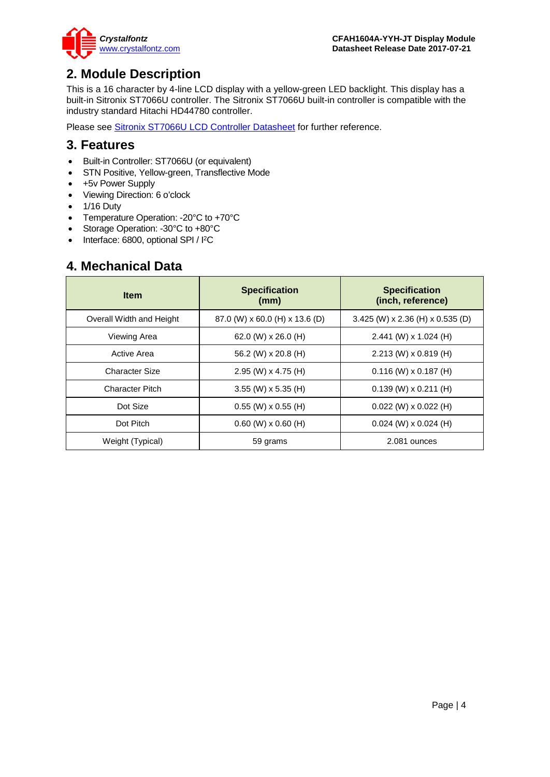

### <span id="page-3-0"></span>**2. Module Description**

This is a 16 character by 4-line LCD display with a yellow-green LED backlight. This display has a built-in Sitronix ST7066U controller. The Sitronix ST7066U built-in controller is compatible with the industry standard Hitachi HD44780 controller.

Please see [Sitronix ST7066U LCD Controller Datasheet](https://www.crystalfontz.com/controllers/Sitronix/ST7066U) for further reference.

### <span id="page-3-1"></span>**3. Features**

- Built-in Controller: ST7066U (or equivalent)
- STN Positive, Yellow-green, Transflective Mode
- +5v Power Supply
- Viewing Direction: 6 o'clock
- 1/16 Duty
- Temperature Operation: -20°C to +70°C
- Storage Operation: -30°C to +80°C
- Interface: 6800, optional SPI / I<sup>2</sup>C

### <span id="page-3-2"></span>**4. Mechanical Data**

| <b>Item</b>              | <b>Specification</b><br>(mm)   | <b>Specification</b><br>(inch, reference) |  |  |  |
|--------------------------|--------------------------------|-------------------------------------------|--|--|--|
| Overall Width and Height | 87.0 (W) x 60.0 (H) x 13.6 (D) | 3.425 (W) x 2.36 (H) x 0.535 (D)          |  |  |  |
| Viewing Area             | 62.0 (W) $\times$ 26.0 (H)     | $2.441$ (W) x 1.024 (H)                   |  |  |  |
| Active Area              | 56.2 (W) x 20.8 (H)            | $2.213$ (W) x 0.819 (H)                   |  |  |  |
| <b>Character Size</b>    | $2.95$ (W) x 4.75 (H)          | $0.116$ (W) x 0.187 (H)                   |  |  |  |
| <b>Character Pitch</b>   | $3.55$ (W) x 5.35 (H)          | $0.139$ (W) x 0.211 (H)                   |  |  |  |
| Dot Size                 | $0.55$ (W) x $0.55$ (H)        | $0.022$ (W) x $0.022$ (H)                 |  |  |  |
| Dot Pitch                | $0.60$ (W) $\times$ 0.60 (H)   | $0.024$ (W) x $0.024$ (H)                 |  |  |  |
| Weight (Typical)         | 59 grams                       | 2.081 ounces                              |  |  |  |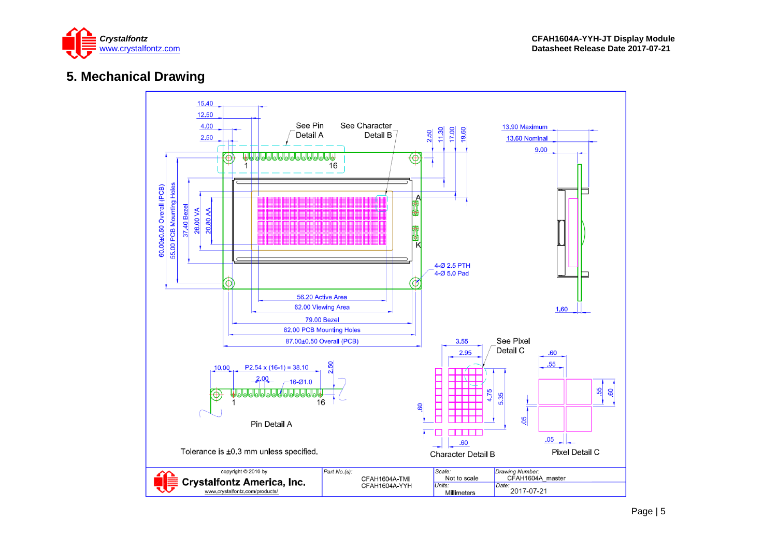

### **5. Mechanical Drawing**

<span id="page-4-0"></span>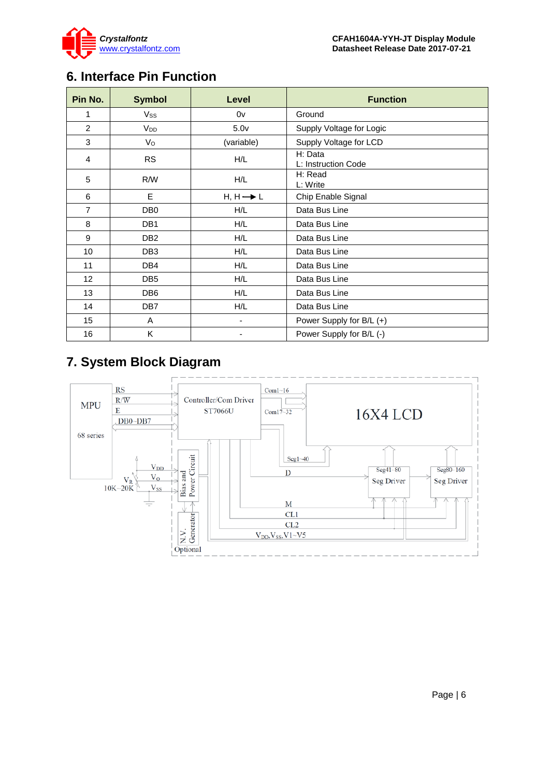

## <span id="page-5-0"></span>**6. Interface Pin Function**

| Pin No.        | <b>Symbol</b>   | Level                | <b>Function</b>                |
|----------------|-----------------|----------------------|--------------------------------|
| 1              | Vss             | 0v                   | Ground                         |
| 2              | V <sub>DD</sub> | 5.0 <sub>v</sub>     | Supply Voltage for Logic       |
| 3              | $V_{\rm O}$     | (variable)           | Supply Voltage for LCD         |
| 4              | <b>RS</b>       | H/L                  | H: Data<br>L: Instruction Code |
| 5              | R/W             | H/L                  | H: Read<br>L: Write            |
| 6              | E               | $H, H \rightarrow L$ | Chip Enable Signal             |
| $\overline{7}$ | DB <sub>0</sub> | H/L                  | Data Bus Line                  |
| 8              | DB <sub>1</sub> | H/L                  | Data Bus Line                  |
| 9              | DB <sub>2</sub> | H/L                  | Data Bus Line                  |
| 10             | DB <sub>3</sub> | H/L                  | Data Bus Line                  |
| 11             | DB4             | H/L                  | Data Bus Line                  |
| 12             | DB <sub>5</sub> | H/L                  | Data Bus Line                  |
| 13             | DB <sub>6</sub> | H/L                  | Data Bus Line                  |
| 14             | DB <sub>7</sub> | H/L                  | Data Bus Line                  |
| 15             | A               | ۰                    | Power Supply for B/L (+)       |
| 16             | K               |                      | Power Supply for B/L (-)       |

# <span id="page-5-1"></span>**7. System Block Diagram**

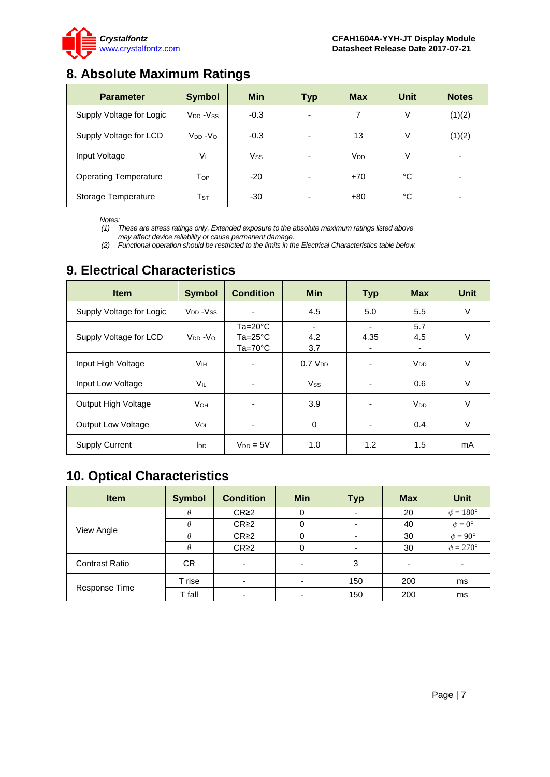

# <span id="page-6-0"></span>**8. Absolute Maximum Ratings**

| <b>Parameter</b>             | <b>Symbol</b>              | <b>Min</b> | <b>Typ</b>               | <b>Max</b>      | <b>Unit</b> | <b>Notes</b> |
|------------------------------|----------------------------|------------|--------------------------|-----------------|-------------|--------------|
| Supply Voltage for Logic     | $V_{DD} - V_{SS}$          | $-0.3$     | $\overline{\phantom{0}}$ |                 | V           | (1)(2)       |
| Supply Voltage for LCD       | $V_{DD} - V_{O}$           | $-0.3$     | $\overline{\phantom{0}}$ | 13              | V           | (1)(2)       |
| Input Voltage                | Vı                         | Vss        | -                        | V <sub>DD</sub> | V           |              |
| <b>Operating Temperature</b> | Top                        | $-20$      | -                        | $+70$           | °C          |              |
| Storage Temperature          | $\mathsf{T}_{\texttt{ST}}$ | $-30$      |                          | $+80$           | °C          |              |

*Notes:*

*(1) These are stress ratings only. Extended exposure to the absolute maximum ratings listed above may affect device reliability or cause permanent damage.* 

*(2) Functional operation should be restricted to the limits in the Electrical Characteristics table below.*

| <b>Item</b>               | <b>Symbol</b>                     | <b>Condition</b>         | <b>Min</b>          | <b>Typ</b>               | <b>Max</b>            | <b>Unit</b> |
|---------------------------|-----------------------------------|--------------------------|---------------------|--------------------------|-----------------------|-------------|
| Supply Voltage for Logic  | V <sub>DD</sub> - V <sub>SS</sub> |                          | 4.5                 | 5.0                      | 5.5                   | V           |
|                           |                                   | $Ta=20^{\circ}C$         | ٠                   | ٠                        | 5.7                   |             |
| Supply Voltage for LCD    | $V_{DD} - V_{O}$                  | $Ta = 25^{\circ}C$       | 4.2                 | 4.35                     | 4.5                   | V           |
|                           |                                   | $Ta=70^{\circ}C$         | 3.7                 |                          | ٠                     |             |
| Input High Voltage        | Vн                                | $\overline{\phantom{0}}$ | 0.7 V <sub>DD</sub> | $\overline{\phantom{0}}$ | <b>V<sub>DD</sub></b> | V           |
| Input Low Voltage         | VIL                               |                          | <b>Vss</b>          |                          | 0.6                   | $\vee$      |
| Output High Voltage       | <b>V</b> он                       | $\overline{\phantom{a}}$ | 3.9                 | $\blacksquare$           | <b>V<sub>DD</sub></b> | V           |
| <b>Output Low Voltage</b> | VOL                               | ٠                        | 0                   | $\overline{\phantom{0}}$ | 0.4                   | V           |
| <b>Supply Current</b>     | l <sub>DD</sub>                   | $V_{DD} = 5V$            | 1.0                 | 1.2                      | 1.5                   | mA          |

### <span id="page-6-1"></span>**9. Electrical Characteristics**

# <span id="page-6-2"></span>**10. Optical Characteristics**

| <b>Item</b>           | <b>Symbol</b> | <b>Condition</b> | <b>Min</b>               | <b>Typ</b> | <b>Max</b> | <b>Unit</b>          |
|-----------------------|---------------|------------------|--------------------------|------------|------------|----------------------|
|                       | θ             | CR <sub>2</sub>  | 0                        |            | 20         | $\phi = 180^\circ$   |
|                       |               | CR <sub>2</sub>  |                          |            | 40         | $\phi = 0^{\circ}$   |
| View Angle            |               | CR <sub>2</sub>  |                          |            | 30         | $\phi = 90^{\circ}$  |
|                       | A             | CR <sub>2</sub>  |                          |            | 30         | $\phi = 270^{\circ}$ |
| <b>Contrast Ratio</b> | СR            | -                | $\overline{\phantom{0}}$ | 3          |            |                      |
|                       | T rise        | ۰                | -                        | 150        | 200        | ms                   |
| Response Time         | T fall        |                  |                          | 150        | 200        | ms                   |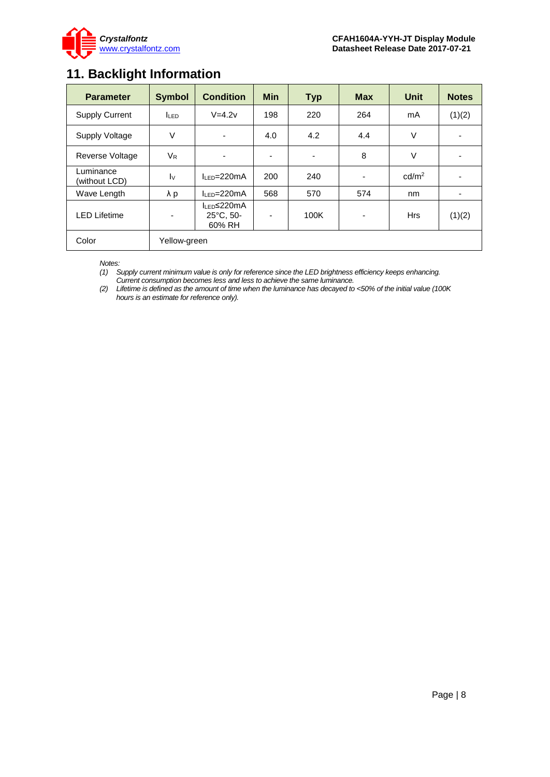

## <span id="page-7-0"></span>**11. Backlight Information**

| <b>Parameter</b>           | <b>Symbol</b>           | <b>Condition</b>                                        | <b>Min</b>                         | <b>Typ</b> | <b>Max</b> | <b>Unit</b>       | <b>Notes</b> |
|----------------------------|-------------------------|---------------------------------------------------------|------------------------------------|------------|------------|-------------------|--------------|
| <b>Supply Current</b>      | <b>ILED</b>             | $V=4.2v$                                                | 198                                | 220        | 264        | mA                | (1)(2)       |
| Supply Voltage             | $\vee$                  | $\overline{\phantom{a}}$                                | 4.2<br>4.0<br>4.4                  |            |            | $\vee$            |              |
| Reverse Voltage            | $V_{R}$                 | ۰                                                       | 8<br>٠<br>$\overline{\phantom{a}}$ |            | $\vee$     |                   |              |
| Luminance<br>(without LCD) | $\mathsf{I} \mathsf{v}$ | $II$ FD=220mA                                           | 200                                | 240        |            | cd/m <sup>2</sup> |              |
| Wave Length                | λp                      | $h = 220mA$                                             | 568                                | 570        | 574        | nm                |              |
| <b>LED Lifetime</b><br>۰   |                         | $I_{LED}$ $\leq$ 220mA<br>$25^{\circ}$ C, 50-<br>60% RH | $\blacksquare$                     | 100K       | ٠          | <b>Hrs</b>        | (1)(2)       |
| Color                      | Yellow-green            |                                                         |                                    |            |            |                   |              |

*Notes:* 

*(1) Supply current minimum value is only for reference since the LED brightness efficiency keeps enhancing.* 

*Current consumption becomes less and less to achieve the same luminance.* 

*(2) Lifetime is defined as the amount of time when the luminance has decayed to <50% of the initial value (100K hours is an estimate for reference only).*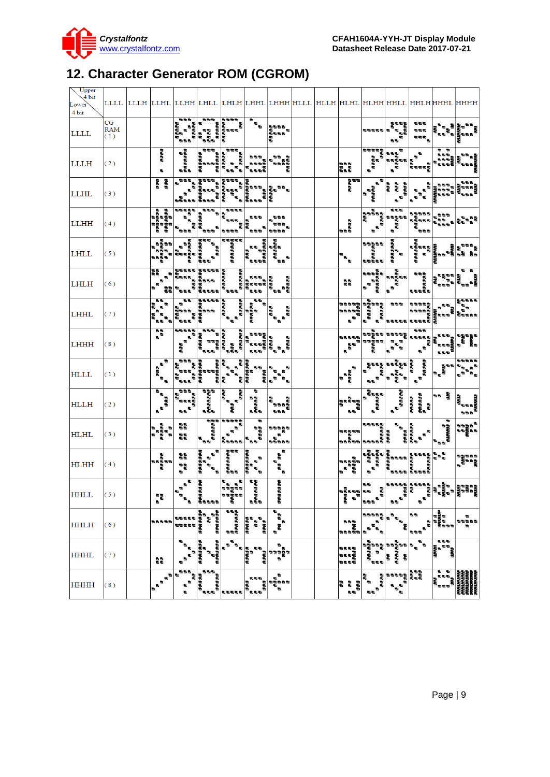

# <span id="page-8-0"></span>**12. Character Generator ROM (CGROM)**

| Upper<br>4 bit<br>Lower<br>4 bit |                         |                                                               |                                                          |                                                                                          |                                                                       |                                                                                                               |                                                                                                              | LLLL  LLLH  LLHL  LLHH  LHLL  LHLH  LHHL  LHHH HLLL  HLLH  HLHL  HLHH HHLL  HHLH HHHL  HHHH |                                                                                                                                                                                                                                                                                                                                      |                                                        |                                   |                                                                |                                                                                                                                                                                                                                                                                                                                                                                                                                                 |                                                                                                                                                                                                                                        |
|----------------------------------|-------------------------|---------------------------------------------------------------|----------------------------------------------------------|------------------------------------------------------------------------------------------|-----------------------------------------------------------------------|---------------------------------------------------------------------------------------------------------------|--------------------------------------------------------------------------------------------------------------|---------------------------------------------------------------------------------------------|--------------------------------------------------------------------------------------------------------------------------------------------------------------------------------------------------------------------------------------------------------------------------------------------------------------------------------------|--------------------------------------------------------|-----------------------------------|----------------------------------------------------------------|-------------------------------------------------------------------------------------------------------------------------------------------------------------------------------------------------------------------------------------------------------------------------------------------------------------------------------------------------------------------------------------------------------------------------------------------------|----------------------------------------------------------------------------------------------------------------------------------------------------------------------------------------------------------------------------------------|
| <b>LLLL</b>                      | CG<br><b>RAM</b><br>(1) |                                                               | 白色石<br>i<br>Ba                                           |                                                                                          | ಕಾರಿ ಕಾರಂ ಕಾರಂ ಕಾ<br>ಕಾರಂ ಕಾರಂ ಕಾರಂ<br>ಕಾರಂ ಕಾರಂ ಕಾರಂ<br>ಕಾರಂ ಕಾರಂ    | $\mathbf{r}$                                                                                                  | 動動動動<br>n<br>A B<br>A B B B B<br>嚸                                                                           |                                                                                             |                                                                                                                                                                                                                                                                                                                                      | 动物动物的                                                  | asas<br>Pana<br>۰.<br>55          | 动物物<br><b>DO 10</b><br>a a a                                   | もっち おおもの<br>  ちゅうち おものの<br>  ちゅうち おちの                                                                                                                                                                                                                                                                                                                                                                                                           |                                                                                                                                                                                                                                        |
| LLLH                             | (2)                     | <b>SAGE</b><br>動                                              | a<br>Baasaas<br>B                                        | <b>CONGERICATION</b><br>CONGERICATION<br>CONGERICATION                                   | an a<br>a a a<br>a aaa                                                | 电电极                                                                                                           | 動物<br>ъš<br>ъ.<br>医血管壁                                                                                       |                                                                                             | ana.<br>Baa                                                                                                                                                                                                                                                                                                                          | ಖಾಖ<br>ಎಂಬಾಖ್<br>ನ                                     | ъ<br>a<br>anana<br>a a            | 嚸<br>×.<br>×.<br>i<br>Baang                                    | . .<br>$\begin{bmatrix} 0 & 0 & 0 \\ 0 & 0 & 0 \\ 0 & 0 & 0 \\ 0 & 0 & 0 \\ 0 & 0 & 0 \\ \end{bmatrix} \begin{bmatrix} 0 \\ 0 \\ 0 \\ 0 \\ 0 \\ 0 \\ \end{bmatrix}$                                                                                                                                                                                                                                                                             | ina an<br>Banais                                                                                                                                                                                                                       |
| LLHL                             | (3)                     | ana<br>S                                                      |                                                          |                                                                                          |                                                                       | いちも もちもち もち もち もち ちょうしょう ちょうしょう しょうしょう しょうしょう しょうしょう しょうしゃ しょうしゃ しょうしゃ しょうしゃ しょうしゃ しょうしゃ しょうしゃ しょうしゃ<br>e a a | di di di                                                                                                     |                                                                                             | as<br>Ba                                                                                                                                                                                                                                                                                                                             | ъ<br>a aaaaa<br>a                                      | 明明期<br>a<br>aaaaa                 | ÷.<br>п.                                                       | in a a                                                                                                                                                                                                                                                                                                                                                                                                                                          | 55 S                                                                                                                                                                                                                                   |
| <b>LLHH</b>                      | (4)                     | ಂ<br>ಶಿಕ್ಷಾಪ್ರಶ<br>ಶಿಕ್ಷಾಪ್ರಶ<br>Ĩ.                           | <b>あきききき</b><br>۰.<br>÷<br><b>BBB</b>                    | $\frac{1}{\sqrt{2\pi}}$<br>aa"<br>aaaaa<br>.<br>Baa <sup>a</sup>                         | 5555<br>e<br>asa<br>ala<br>动物动物                                       | 555<br>U,<br>ももも、                                                                                             | 555<br><b>B</b> B B<br>U,<br>5555                                                                            |                                                                                             | l<br>ass                                                                                                                                                                                                                                                                                                                             | F<br>asa<br>Caran<br>Cara<br>$\mathbf{s}^{\mathbf{u}}$ | 表記号<br>a<br>Basa<br>B             | 動動動                                                            |                                                                                                                                                                                                                                                                                                                                                                                                                                                 | ,<br>.<br>le.                                                                                                                                                                                                                          |
| LHLL                             | (5)                     | 5555<br>動<br>ğu.<br>13 TO                                     |                                                          | ್ ಪ್ರಮಾಣ<br>ಕಾಲಕ್ಷತ್ ಪ್ರಮಾಣ<br>ಕಾಲಕ್ಷತ್ ಪ್ರಮಾಣ<br>ಕಾಲಕ್ಷತ್ ಪ್ರಮಾಣ                        | a<br>Baasaasaa                                                        | ್ದ ಕಾಂಗ್ರ<br>ಕಾಂಗ್ರೆ ಕಾಂಗ್ರೆ<br>ಕಾಂಗ್ರೆಗಳೂ                                                                    | asa<br>Sa                                                                                                    |                                                                                             | $\mathbf{e}_\mathbf{e}$                                                                                                                                                                                                                                                                                                              | 55555<br>a an<br>assas                                 | aaaaaa<br>a                       | ಲ<br>ಕಾಶ ಕಾಶ ಕಾಶ ಕಾಶ ಕಾಶ<br>ಕಾಶ ಕಾಶ ಕಾಶ ಕಾಶ<br>ಕಾಶ ಕಾಶ ಕಾಶ ಕಾಶ |                                                                                                                                                                                                                                                                                                                                                                                                                                                 | 動物動                                                                                                                                                                                                                                    |
| <b>LHLH</b>                      | (6)                     | a.<br>$\blacksquare$<br>÷<br>a,<br>$\alpha$ is<br>ъ.          |                                                          | ್ ಕಾಂಪ್ ಮಾಡಿದರ ಪ್ರಮಾಣ<br>ಕಾಂಪ್ರಮಾಣ ಮಾಡಿದರ<br>ಕಾಂಪ್ರಮಾಣ ಮಾಡಿದರ<br>ಕಾಂಪ್ರಮಾಣ ಮಾಡಿದರ ಪ್ರಮಾಣ |                                                                       | きゅう きょうきょう きょうきょう しょうきょう しょうかい あいしゃ あいしゃ あいしゃ しょうかい しょうしゃ しゅうしゃ<br>asta<br>Basas                              | aaaa<br>a<br>-<br>88888                                                                                      |                                                                                             | 꾧                                                                                                                                                                                                                                                                                                                                    |                                                        |                                   | a<br>a<br>aaaaaa<br>a                                          | - 1975年<br>- 1975年<br>- 1975年 - 1975年                                                                                                                                                                                                                                                                                                                                                                                                           | <b>D</b> D<br>ansa<br>Ba                                                                                                                                                                                                               |
| <b>LHHL</b>                      | (7)                     | ъ.<br>雹<br>s.<br>g,<br>ъъ <sup>,</sup><br>٠a                  | <b>Ballie</b><br>anna.<br>B<br><b>BBB</b>                |                                                                                          | ಕಾರಿಗಳು ಕಾರ್ಯಕ್ಷ<br>ಕಾರಿಗಳು ಕಾರ್ಯಕ್ಷ<br>ಕಾರಿಗಳು ಕಾರ್ಯಕ್ಷ<br>ಕಾರಿ ಕಾರಿ | $\overline{\mathbf{w}}_{\mathbf{q}}$                                                                          | in in it                                                                                                     |                                                                                             | asasa<br>Panang<br>$\mathbf{s}^{\frac{1}{2}}$                                                                                                                                                                                                                                                                                        | a<br>Panana<br>Panana<br>b,<br>$\mathbf{r}$            |                                   |                                                                |                                                                                                                                                                                                                                                                                                                                                                                                                                                 | <b>Bases</b>                                                                                                                                                                                                                           |
| LHHH                             | (8)                     | a a                                                           | ----<br>u,<br>v.<br>an a                                 | <b>BBB</b><br>ara a a<br>Araba<br>Araba<br>99999<br>555                                  | a<br>aaa<br>aaaaaa                                                    | asan<br>asang<br>asan                                                                                         | ъ<br>U,<br>a a a<br>.<br>""                                                                                  |                                                                                             | 1955)<br>8<br>$\begin{array}{c} \mathbf{r} \\ \mathbf{r} \end{array}$                                                                                                                                                                                                                                                                | a agus<br>Sagan<br>Sagan                               |                                   | 999                                                            | ್ಲೋ<br>ಅನ್ನ ಪ್ರಶಸ್ತಿ<br>ಅನ್ನ ಪ್ರಶಸ್ತಿ                                                                                                                                                                                                                                                                                                                                                                                                           | e gelege<br>Store<br>S<br>lea                                                                                                                                                                                                          |
| <b>HLLL</b>                      | (1)                     | $\overline{\bullet}$<br>aas<br>a                              |                                                          | <b>CROCE DE</b><br>CROCESSE DE<br>CROCESSE DE<br>CROCESSE DE<br>CROCESSE                 | i<br>Cara<br>Cara                                                     | aaaaaa<br>aaaaaaa<br>$\mathbf{u}$ .<br>1000                                                                   | ×.<br>動<br>$\mathbf{e}_\mathrm{a}$<br>ъ,                                                                     |                                                                                             | e.<br>a<br>aaaa                                                                                                                                                                                                                                                                                                                      | asan<br>Caracter<br>Caracter<br>٠.                     | ತ ಕಾಶ್ಮಾನ<br>ಕಾಶ್ಮಾನಕ<br>ಕಾಶ್ಮಾನಕ | あきある こうしゃ あいこうしゃ                                               | $\begin{bmatrix} \mathbf{r}^{\mathbf{u}} \\ \mathbf{r}^{\mathbf{u}} \\ \mathbf{r}^{\mathbf{u}} \\ \mathbf{r}^{\mathbf{u}} \\ \mathbf{r}^{\mathbf{u}} \\ \mathbf{r}^{\mathbf{u}} \\ \mathbf{r}^{\mathbf{u}} \\ \mathbf{r}^{\mathbf{u}} \\ \mathbf{r}^{\mathbf{u}} \\ \mathbf{r}^{\mathbf{u}} \\ \mathbf{r}^{\mathbf{u}} \\ \mathbf{r}^{\mathbf{u}} \\ \mathbf{r}^{\mathbf{u}} \\ \mathbf{r}^{\mathbf{u}} \\ \mathbf{r}^{\mathbf{u}} \\ \mathbf{$ | .<br>ing a<br>ູອ່                                                                                                                                                                                                                      |
| <b>HLLH</b>                      | (2)                     | $\overline{\bullet}_a$<br>and of<br>$\mathbf{s}^{\mathbf{u}}$ | 动物物<br>n ang<br>$\overline{\mathbf{a}}$                  | <b>电影电影电影的</b>                                                                           | asa<br>a<br>asa                                                       | ъ<br><b>电电电电阻</b><br>电电电电                                                                                     | 톱<br>动物物物<br>動動動                                                                                             |                                                                                             | $\begin{bmatrix} 0 & 0 & 0 \\ 0 & 0 & 0 & 0 \\ 0 & 0 & 0 & 0 \\ 0 & 0 & 0 & 0 \\ 0 & 0 & 0 & 0 \\ 0 & 0 & 0 & 0 \\ 0 & 0 & 0 & 0 \\ 0 & 0 & 0 & 0 \\ 0 & 0 & 0 & 0 \\ 0 & 0 & 0 & 0 \\ 0 & 0 & 0 & 0 \\ 0 & 0 & 0 & 0 \\ 0 & 0 & 0 & 0 & 0 \\ 0 & 0 & 0 & 0 & 0 \\ 0 & 0 & 0 & 0 & 0 \\ 0 & 0 & 0 & 0 & 0 \\ 0 & 0 & 0 & 0 & $<br>風歌 | a<br>Banan<br>Banan                                    | a<br>  aaaaa <br>                 | e ee ee<br>Ee ee ee ee<br>Ee ee ee                             | ≂⇒ §                                                                                                                                                                                                                                                                                                                                                                                                                                            | <b>BBB</b>                                                                                                                                                                                                                             |
| HLHL                             | (3)                     | a angla<br>Angla<br>ъ.                                        | a a<br>аg<br>Ба                                          |                                                                                          | ್ ಕಾರಂಶ ಕಾರಂಭ<br>ಕಾರಂಶ ಕಾರಂಭ<br>ಕಾರಂಭ ಕಾರಂಭ<br>a<br>Baasa             | Đ<br>aaaa<br>a<br>a<br>Ba                                                                                     | aaaaa<br>u,<br>as<br>Baana                                                                                   |                                                                                             |                                                                                                                                                                                                                                                                                                                                      | asses<br>Bease asses<br>Bease asses                    | <b>BBBB</b>                       | asaas<br>a<br>a<br>u,                                          | $\blacksquare$<br><b>Property</b>                                                                                                                                                                                                                                                                                                                                                                                                               | anges<br>Pages<br>Pages                                                                                                                                                                                                                |
| <b>HLHH</b>                      | (4)                     | i<br>Banan<br>Banan                                           | Цì,<br>ិដ្ឋិ<br>ធ                                        | ъ.<br>ananan<br>$\mathbf{r}$<br>$\mathbf{e}^{(n)}$                                       | es<br>See<br>See                                                      | <b>BBBBBB</b><br>B<br>- B<br>$\blacksquare$<br>$\mathbf{r}$<br>$\mathbf{w}_{_{\mathrm{B}}}$                   | 勵<br>$\frac{m}{\omega}$<br>$\begin{array}{c} \mathbf{e}^{\mathbf{e}} \\ \mathbf{e}^{\mathbf{e}} \end{array}$ |                                                                                             | きゅうきょう きょうしょう きょうしょう きょうしょう きょうしょう きょうしょう きょうしょう きょうしょう                                                                                                                                                                                                                                                                              | $\mathbf{s}^{\mathbf{s}}$                              |                                   | O<br>CONSOR CONSOR<br>CONSOR CONSOR<br>CONSOR CONSOR           | e e                                                                                                                                                                                                                                                                                                                                                                                                                                             |                                                                                                                                                                                                                                        |
| <b>HHLL</b>                      | (5)                     | 학                                                             | $\blacksquare$<br>$\mathbf{e}_{\mathbf{e}_{\mathbf{q}}}$ | 200000                                                                                   | e e e<br>angan.                                                       | <b>医胃胃胃胃胃</b>                                                                                                 | 199999                                                                                                       |                                                                                             |                                                                                                                                                                                                                                                                                                                                      | 動物<br>- そのもの こころ<br>そのもの ちゅうち<br>そのち ちゅうち              |                                   |                                                                |                                                                                                                                                                                                                                                                                                                                                                                                                                                 | ಿ ಕಾಲ್ವಾನ್ ಮತ್ತು ಮಾಡಲಾಗಿದ್ದಾರೆ.<br>ಕಾಲ್ವಾನ್ ಕಾಲ್ವಾನ್ ಮತ್ತು ಮಾಡಲಾಗಿದ್ದಾರೆ.<br>ಕಾಲ್ವಾನ್ ಕಾಲ್ವಾನ್ ಮತ್ತು ಮತ್ತು ಮತ್ತು ಮತ್ತು ಮತ್ತು ಮತ್ತು ಮತ್ತು ಮತ್ತು ಮತ್ತು ಮತ್ತು ಮತ್ತು ಮತ್ತು ಮತ್ತು ಮತ್ತು ಮತ್ತು ಮ<br>ಹಾಗೂ ಮತ್ತು ಮತ್ತು ಮತ್ತು ಮತ್ತು ಮತ್ತು ಮತ್ತು |
| <b>HHLH</b>                      | (6)                     | .                                                             |                                                          | 医腹股沟的                                                                                    | <b>のあきものです</b><br>ありある<br>わり                                          | 9999                                                                                                          |                                                                                                              |                                                                                             | 物物物<br>55556                                                                                                                                                                                                                                                                                                                         |                                                        |                                   | 5 S S                                                          |                                                                                                                                                                                                                                                                                                                                                                                                                                                 | Ð<br>.                                                                                                                                                                                                                                 |
| <b>HHHL</b>                      | (7)                     | à.                                                            |                                                          |                                                                                          |                                                                       | anaan<br>B<br>医医院                                                                                             |                                                                                                              |                                                                                             | aaat<br><b>.</b><br>的复数歌                                                                                                                                                                                                                                                                                                             | aan<br>C<br>s<br>动物物                                   | きゅうしょう ちょうしょう しょうしょう              |                                                                | 45 M. 45                                                                                                                                                                                                                                                                                                                                                                                                                                        |                                                                                                                                                                                                                                        |
| <b>HHHH</b>                      | (8)                     |                                                               |                                                          | ちちちら<br>动动物                                                                              |                                                                       |                                                                                                               |                                                                                                              |                                                                                             | ŧ<br>e e<br>t.                                                                                                                                                                                                                                                                                                                       | a a a a<br>医肠                                          |                                   |                                                                | ъ<br>ъ                                                                                                                                                                                                                                                                                                                                                                                                                                          |                                                                                                                                                                                                                                        |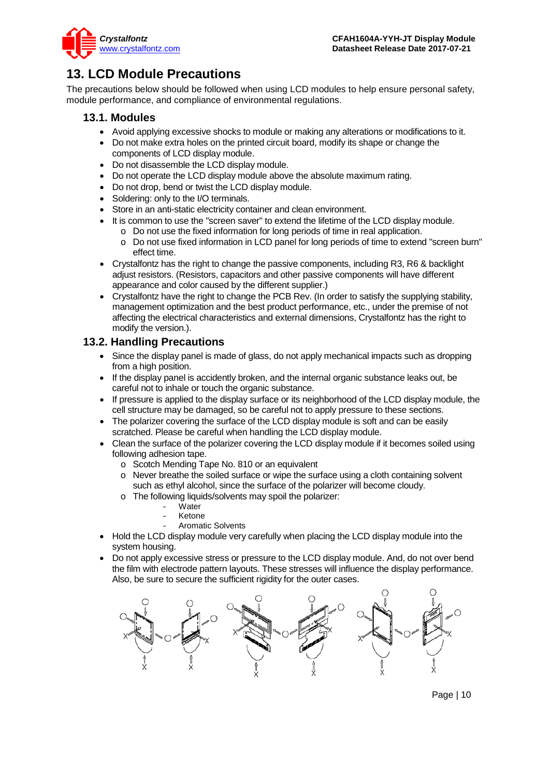

## <span id="page-9-0"></span>**13. LCD Module Precautions**

The precautions below should be followed when using LCD modules to help ensure personal safety, module performance, and compliance of environmental regulations.

### **13.1. Modules**

- Avoid applying excessive shocks to module or making any alterations or modifications to it.
- Do not make extra holes on the printed circuit board, modify its shape or change the components of LCD display module.
- Do not disassemble the LCD display module.
- Do not operate the LCD display module above the absolute maximum rating.
- Do not drop, bend or twist the LCD display module.
- Soldering: only to the I/O terminals.
- Store in an anti-static electricity container and clean environment.
- It is common to use the "screen saver" to extend the lifetime of the LCD display module.
	- o Do not use the fixed information for long periods of time in real application.
	- o Do not use fixed information in LCD panel for long periods of time to extend "screen burn" effect time.
- Crystalfontz has the right to change the passive components, including R3, R6 & backlight adjust resistors. (Resistors, capacitors and other passive components will have different appearance and color caused by the different supplier.)
- Crystalfontz have the right to change the PCB Rev. (In order to satisfy the supplying stability, management optimization and the best product performance, etc., under the premise of not affecting the electrical characteristics and external dimensions, Crystalfontz has the right to modify the version.).

### **13.2. Handling Precautions**

- Since the display panel is made of glass, do not apply mechanical impacts such as dropping from a high position.
- If the display panel is accidently broken, and the internal organic substance leaks out, be careful not to inhale or touch the organic substance.
- If pressure is applied to the display surface or its neighborhood of the LCD display module, the cell structure may be damaged, so be careful not to apply pressure to these sections.
- The polarizer covering the surface of the LCD display module is soft and can be easily scratched. Please be careful when handling the LCD display module.
- Clean the surface of the polarizer covering the LCD display module if it becomes soiled using following adhesion tape.
	- o Scotch Mending Tape No. 810 or an equivalent
	- o Never breathe the soiled surface or wipe the surface using a cloth containing solvent such as ethyl alcohol, since the surface of the polarizer will become cloudy.
	- o The following liquids/solvents may spoil the polarizer:
		- Water
		- **Ketone**
		- Aromatic Solvents
- Hold the LCD display module very carefully when placing the LCD display module into the system housing.
- Do not apply excessive stress or pressure to the LCD display module. And, do not over bend the film with electrode pattern layouts. These stresses will influence the display performance. Also, be sure to secure the sufficient rigidity for the outer cases.



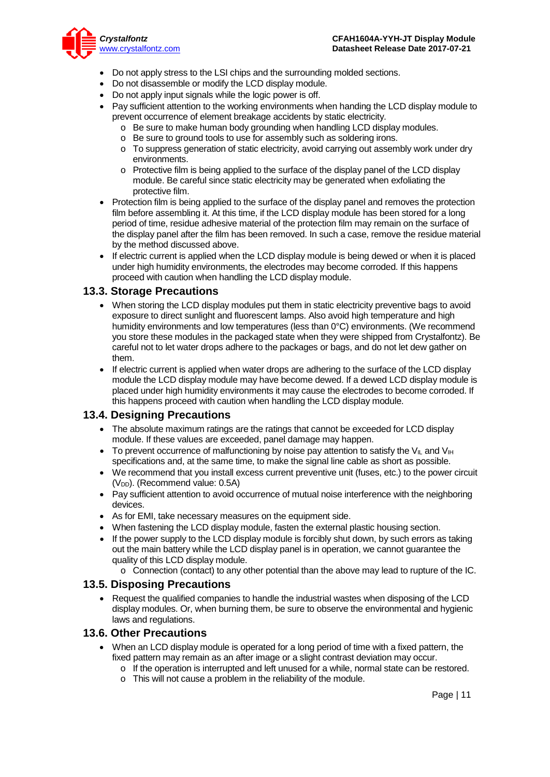

- Do not apply stress to the LSI chips and the surrounding molded sections.
- Do not disassemble or modify the LCD display module.
- Do not apply input signals while the logic power is off.
- Pay sufficient attention to the working environments when handing the LCD display module to prevent occurrence of element breakage accidents by static electricity.
	- o Be sure to make human body grounding when handling LCD display modules.
	- o Be sure to ground tools to use for assembly such as soldering irons.
	- o To suppress generation of static electricity, avoid carrying out assembly work under dry environments.
	- o Protective film is being applied to the surface of the display panel of the LCD display module. Be careful since static electricity may be generated when exfoliating the protective film.
- Protection film is being applied to the surface of the display panel and removes the protection film before assembling it. At this time, if the LCD display module has been stored for a long period of time, residue adhesive material of the protection film may remain on the surface of the display panel after the film has been removed. In such a case, remove the residue material by the method discussed above.
- If electric current is applied when the LCD display module is being dewed or when it is placed under high humidity environments, the electrodes may become corroded. If this happens proceed with caution when handling the LCD display module.

#### **13.3. Storage Precautions**

- When storing the LCD display modules put them in static electricity preventive bags to avoid exposure to direct sunlight and fluorescent lamps. Also avoid high temperature and high humidity environments and low temperatures (less than 0°C) environments. (We recommend you store these modules in the packaged state when they were shipped from Crystalfontz). Be careful not to let water drops adhere to the packages or bags, and do not let dew gather on them.
- If electric current is applied when water drops are adhering to the surface of the LCD display module the LCD display module may have become dewed. If a dewed LCD display module is placed under high humidity environments it may cause the electrodes to become corroded. If this happens proceed with caution when handling the LCD display module.

#### **13.4. Designing Precautions**

- The absolute maximum ratings are the ratings that cannot be exceeded for LCD display module. If these values are exceeded, panel damage may happen.
- To prevent occurrence of malfunctioning by noise pay attention to satisfy the V<sub>II</sub> and V<sub>IH</sub> specifications and, at the same time, to make the signal line cable as short as possible.
- We recommend that you install excess current preventive unit (fuses, etc.) to the power circuit (V<sub>DD</sub>). (Recommend value: 0.5A)
- Pay sufficient attention to avoid occurrence of mutual noise interference with the neighboring devices.
- As for EMI, take necessary measures on the equipment side.
- When fastening the LCD display module, fasten the external plastic housing section.
- If the power supply to the LCD display module is forcibly shut down, by such errors as taking out the main battery while the LCD display panel is in operation, we cannot guarantee the quality of this LCD display module.
	- $\circ$  Connection (contact) to any other potential than the above may lead to rupture of the IC.

#### **13.5. Disposing Precautions**

• Request the qualified companies to handle the industrial wastes when disposing of the LCD display modules. Or, when burning them, be sure to observe the environmental and hygienic laws and regulations.

#### **13.6. Other Precautions**

- When an LCD display module is operated for a long period of time with a fixed pattern, the fixed pattern may remain as an after image or a slight contrast deviation may occur.
	- o If the operation is interrupted and left unused for a while, normal state can be restored.
	- o This will not cause a problem in the reliability of the module.